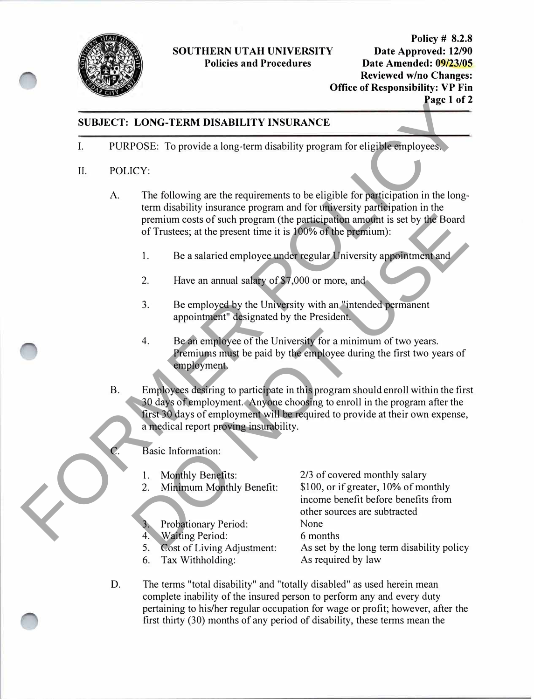

# **SOUTHERN UTAH UNIVERSITY**

**Policy # 8.2.8 Policies and Procedures Date Amended: 09/23/05 Reviewed wino Changes: Office of Responsibility: VP Fin Page 1 of 2** 

### **SUBJECT: LONG-TERM DISABILITY INSURANCE**

I. PURPOSE: To provide a long-term disability program for eligible employees.

#### II. POLICY:

- A. The following are the requirements to be eligible for participation in the longterm disability insurance program and for university participation in the premium costs of such program (the participation amount is set by the Board of Trustees; at the present time it is 100% of the premium): **EXERCITE LONG-TERM DISABILITY INSURANCE**<br>
1. PURPOSE: To provide a long-term disability program for eligible employees.<br>
1. POLICY:<br>
A. The following are the requirements to be religible for participation in the long-<br>
t
	- 1. Be a salaried employee under regular University appointment and
	- 2. Have an annual salary of \$7,000 or more, and
	- 3. Be employed by the University with an "intended permanent appointment" designated by the President.
	- 4. Be an employee of the University for a minimum of two years. Premiums must be paid by the employee during the first two years of employment.
	- B. Employees desiring to participate in this program should enroll within the first 30 days of employment. Anyone choosing to enroll in the program after the first 30 days of employment will be required to provide at their own expense, a medical report proving insurability. premium costs of such program (the participation amount is set by the Board<br>of Trustees; at the present time it is 100% of the premium):<br>1. Be a salaried employee under regular University appointment and<br>2. Have an annual

## Basic Information:

- 1. Monthly Benefits:
- 2. Minimum Monthly Benefit:
- 3. Probationary Period:
- 4. Waiting Period:
- 5. Cost of Living Adjustment:
- 6. Tax Withholding:

2/3 of covered monthly salary \$100, or if greater, 10% of monthly income benefit before benefits from other sources are subtracted None 6 months As set by the long term disability policy As required by law

D. The terms "total disability" and "totally disabled" as used herein mean complete inability of the insured person to perform any and every duty pertaining to his/her regular occupation for wage or profit; however, after the first thirty (30) months of any period of disability, these terms mean the